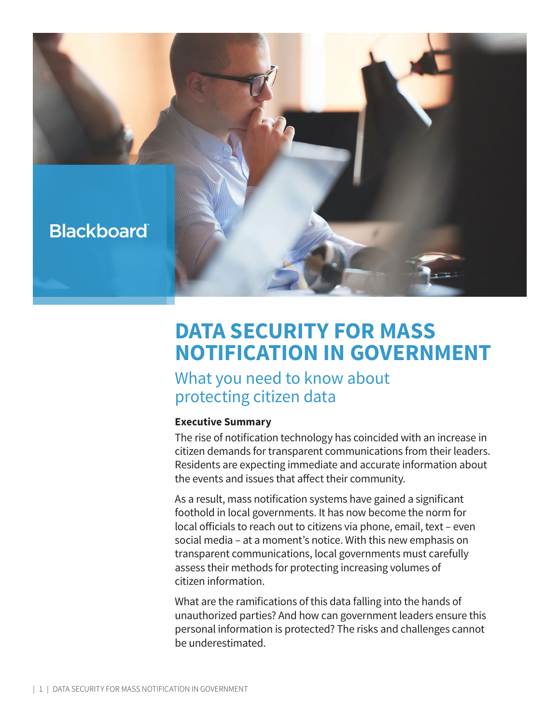

# **DATA SECURITY FOR MASS NOTIFICATION IN GOVERNMENT**

## What you need to know about protecting citizen data

#### **Executive Summary**

The rise of notification technology has coincided with an increase in citizen demands for transparent communications from their leaders. Residents are expecting immediate and accurate information about the events and issues that affect their community.

As a result, mass notification systems have gained a significant foothold in local governments. It has now become the norm for local officials to reach out to citizens via phone, email, text – even social media – at a moment's notice. With this new emphasis on transparent communications, local governments must carefully assess their methods for protecting increasing volumes of citizen information.

What are the ramifications of this data falling into the hands of unauthorized parties? And how can government leaders ensure this personal information is protected? The risks and challenges cannot be underestimated.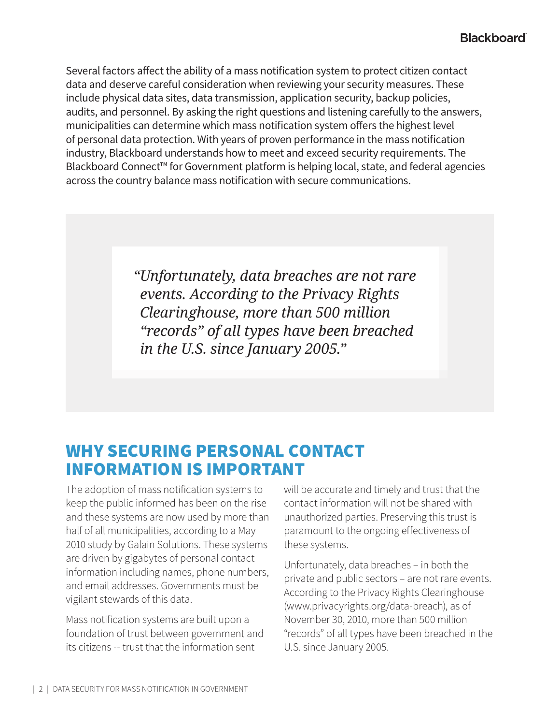Several factors affect the ability of a mass notification system to protect citizen contact data and deserve careful consideration when reviewing your security measures. These include physical data sites, data transmission, application security, backup policies, audits, and personnel. By asking the right questions and listening carefully to the answers, municipalities can determine which mass notification system offers the highest level of personal data protection. With years of proven performance in the mass notification industry, Blackboard understands how to meet and exceed security requirements. The Blackboard Connect™ for Government platform is helping local, state, and federal agencies across the country balance mass notification with secure communications.

> *"Unfortunately, data breaches are not rare events. According to the Privacy Rights Clearinghouse, more than 500 million "records" of all types have been breached in the U.S. since January 2005."*

## WHY SECURING PERSONAL CONTACT INFORMATION IS IMPORTANT

The adoption of mass notification systems to keep the public informed has been on the rise and these systems are now used by more than half of all municipalities, according to a May 2010 study by Galain Solutions. These systems are driven by gigabytes of personal contact information including names, phone numbers, and email addresses. Governments must be vigilant stewards of this data.

Mass notification systems are built upon a foundation of trust between government and its citizens -- trust that the information sent

will be accurate and timely and trust that the contact information will not be shared with unauthorized parties. Preserving this trust is paramount to the ongoing effectiveness of these systems.

Unfortunately, data breaches – in both the private and public sectors – are not rare events. According to the Privacy Rights Clearinghouse (www.privacyrights.org/data-breach), as of November 30, 2010, more than 500 million "records" of all types have been breached in the U.S. since January 2005.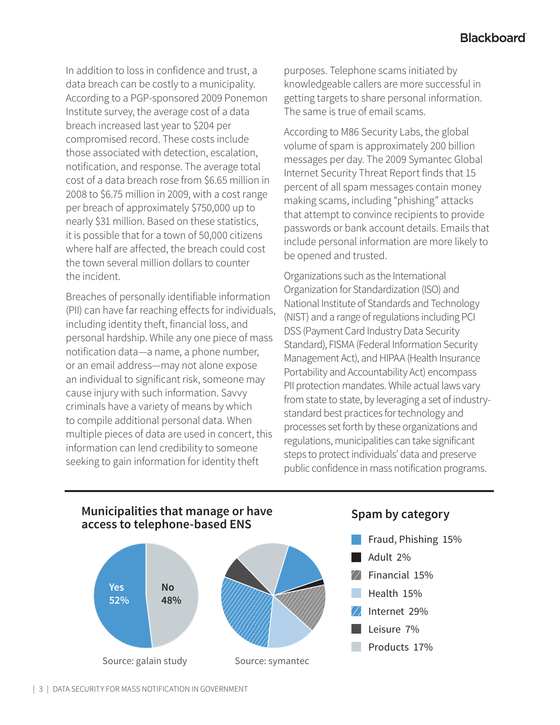In addition to loss in confidence and trust, a data breach can be costly to a municipality. According to a PGP-sponsored 2009 Ponemon Institute survey, the average cost of a data breach increased last year to \$204 per compromised record. These costs include those associated with detection, escalation, notification, and response. The average total cost of a data breach rose from \$6.65 million in 2008 to \$6.75 million in 2009, with a cost range per breach of approximately \$750,000 up to nearly \$31 million. Based on these statistics, it is possible that for a town of 50,000 citizens where half are affected, the breach could cost the town several million dollars to counter the incident.

Breaches of personally identifiable information (PII) can have far reaching effects for individuals, including identity theft, financial loss, and personal hardship. While any one piece of mass notification data—a name, a phone number, or an email address—may not alone expose an individual to significant risk, someone may cause injury with such information. Savvy criminals have a variety of means by which to compile additional personal data. When multiple pieces of data are used in concert, this information can lend credibility to someone seeking to gain information for identity theft

purposes. Telephone scams initiated by knowledgeable callers are more successful in getting targets to share personal information. The same is true of email scams.

According to M86 Security Labs, the global volume of spam is approximately 200 billion messages per day. The 2009 Symantec Global Internet Security Threat Report finds that 15 percent of all spam messages contain money making scams, including "phishing" attacks that attempt to convince recipients to provide passwords or bank account details. Emails that include personal information are more likely to be opened and trusted.

Organizations such as the International Organization for Standardization (ISO) and National Institute of Standards and Technology (NIST) and a range of regulations including PCI DSS (Payment Card Industry Data Security Standard), FISMA (Federal Information Security Management Act), and HIPAA (Health Insurance Portability and Accountability Act) encompass PII protection mandates. While actual laws vary from state to state, by leveraging a set of industrystandard best practices for technology and processes set forth by these organizations and regulations, municipalities can take significant steps to protect individuals' data and preserve public confidence in mass notification programs.



- **Fraud, Phishing 15%**
- $\sqrt{ }$  Adult 2%
- Adult 2% Financial 15% Financial 15%
- $\mathbb{Z}$  Health 15%
- Internet 29% Z Internet 29%
- Z Leisure 7%
- $\mathbb{Z}$  Products 17%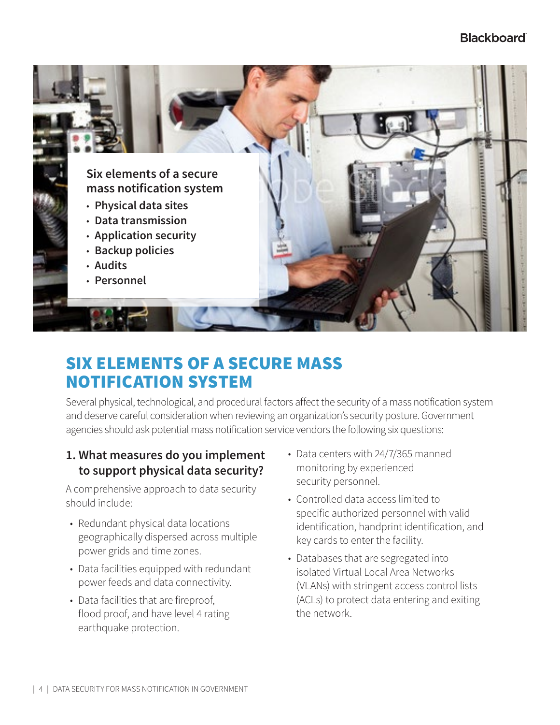

## SIX ELEMENTS OF A SECURE MASS NOTIFICATION SYSTEM

Several physical, technological, and procedural factors affect the security of a mass notification system and deserve careful consideration when reviewing an organization's security posture. Government agencies should ask potential mass notification service vendors the following six questions:

#### **1. What measures do you implement to support physical data security?**

A comprehensive approach to data security should include:

- Redundant physical data locations geographically dispersed across multiple power grids and time zones.
- Data facilities equipped with redundant power feeds and data connectivity.
- Data facilities that are fireproof, flood proof, and have level 4 rating earthquake protection.
- Data centers with 24/7/365 manned monitoring by experienced security personnel.
- Controlled data access limited to specific authorized personnel with valid identification, handprint identification, and key cards to enter the facility.
- Databases that are segregated into isolated Virtual Local Area Networks (VLANs) with stringent access control lists (ACLs) to protect data entering and exiting the network.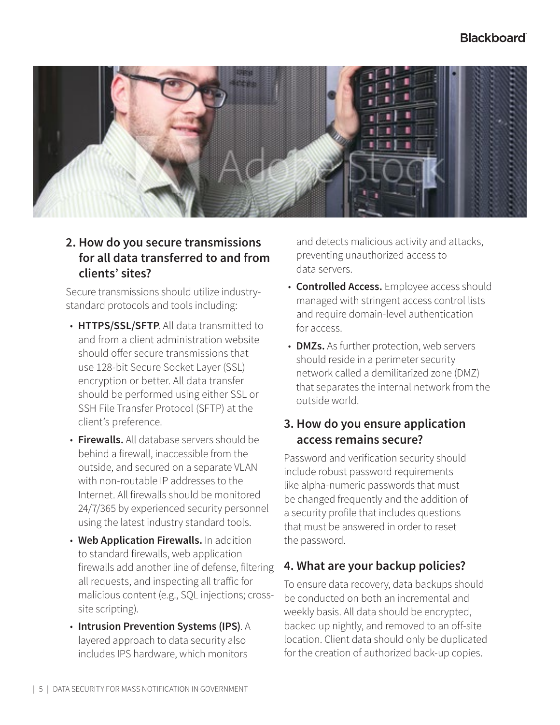#### **Blackboard**



#### **2. How do you secure transmissions for all data transferred to and from clients' sites?**

Secure transmissions should utilize industrystandard protocols and tools including:

- **HTTPS/SSL/SFTP**. All data transmitted to and from a client administration website should offer secure transmissions that use 128-bit Secure Socket Layer (SSL) encryption or better. All data transfer should be performed using either SSL or SSH File Transfer Protocol (SFTP) at the client's preference.
- **Firewalls.** All database servers should be behind a firewall, inaccessible from the outside, and secured on a separate VLAN with non-routable IP addresses to the Internet. All firewalls should be monitored 24/7/365 by experienced security personnel using the latest industry standard tools.
- **Web Application Firewalls.** In addition to standard firewalls, web application firewalls add another line of defense, filtering all requests, and inspecting all traffic for malicious content (e.g., SQL injections; crosssite scripting).
- **Intrusion Prevention Systems (IPS)**. A layered approach to data security also includes IPS hardware, which monitors

and detects malicious activity and attacks, preventing unauthorized access to data servers.

- **Controlled Access.** Employee access should managed with stringent access control lists and require domain-level authentication for access.
- **DMZs.** As further protection, web servers should reside in a perimeter security network called a demilitarized zone (DMZ) that separates the internal network from the outside world.

#### **3. How do you ensure application access remains secure?**

Password and verification security should include robust password requirements like alpha-numeric passwords that must be changed frequently and the addition of a security profile that includes questions that must be answered in order to reset the password.

#### **4. What are your backup policies?**

To ensure data recovery, data backups should be conducted on both an incremental and weekly basis. All data should be encrypted, backed up nightly, and removed to an off-site location. Client data should only be duplicated for the creation of authorized back-up copies.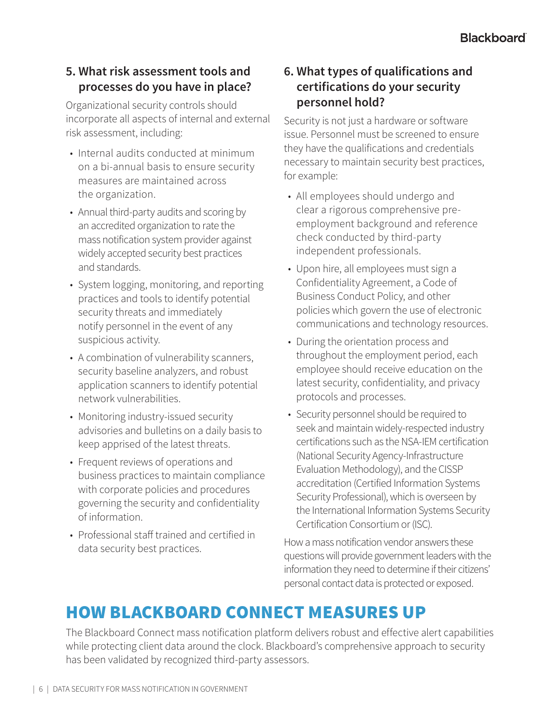#### **5. What risk assessment tools and processes do you have in place?**

Organizational security controls should incorporate all aspects of internal and external risk assessment, including:

- Internal audits conducted at minimum on a bi-annual basis to ensure security measures are maintained across the organization.
- Annual third-party audits and scoring by an accredited organization to rate the mass notification system provider against widely accepted security best practices and standards.
- System logging, monitoring, and reporting practices and tools to identify potential security threats and immediately notify personnel in the event of any suspicious activity.
- A combination of vulnerability scanners, security baseline analyzers, and robust application scanners to identify potential network vulnerabilities.
- Monitoring industry-issued security advisories and bulletins on a daily basis to keep apprised of the latest threats.
- Frequent reviews of operations and business practices to maintain compliance with corporate policies and procedures governing the security and confidentiality of information.
- Professional staff trained and certified in data security best practices.

#### **6. What types of qualifications and certifications do your security personnel hold?**

Security is not just a hardware or software issue. Personnel must be screened to ensure they have the qualifications and credentials necessary to maintain security best practices, for example:

- All employees should undergo and clear a rigorous comprehensive preemployment background and reference check conducted by third-party independent professionals.
- Upon hire, all employees must sign a Confidentiality Agreement, a Code of Business Conduct Policy, and other policies which govern the use of electronic communications and technology resources.
- During the orientation process and throughout the employment period, each employee should receive education on the latest security, confidentiality, and privacy protocols and processes.
- Security personnel should be required to seek and maintain widely-respected industry certifications such as the NSA-IEM certification (National Security Agency-Infrastructure Evaluation Methodology), and the CISSP accreditation (Certified Information Systems Security Professional), which is overseen by the International Information Systems Security Certification Consortium or (ISC).

How a mass notification vendor answers these questions will provide government leaders with the information they need to determine if their citizens' personal contact data is protected or exposed.

## HOW BLACKBOARD CONNECT MEASURES UP

The Blackboard Connect mass notification platform delivers robust and effective alert capabilities while protecting client data around the clock. Blackboard's comprehensive approach to security has been validated by recognized third-party assessors.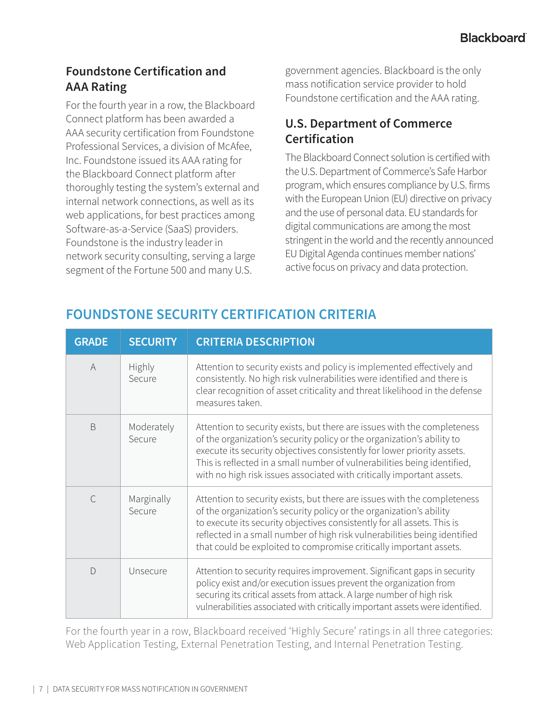## **Foundstone Certification and AAA Rating**

For the fourth year in a row, the Blackboard Connect platform has been awarded a AAA security certification from Foundstone Professional Services, a division of McAfee, Inc. Foundstone issued its AAA rating for the Blackboard Connect platform after thoroughly testing the system's external and internal network connections, as well as its web applications, for best practices among Software-as-a-Service (SaaS) providers. Foundstone is the industry leader in network security consulting, serving a large segment of the Fortune 500 and many U.S.

government agencies. Blackboard is the only mass notification service provider to hold Foundstone certification and the AAA rating.

#### **U.S. Department of Commerce Certification**

The Blackboard Connect solution is certified with the U.S. Department of Commerce's Safe Harbor program, which ensures compliance by U.S. firms with the European Union (EU) directive on privacy and the use of personal data. EU standards for digital communications are among the most stringent in the world and the recently announced EU Digital Agenda continues member nations' active focus on privacy and data protection.

| <b>GRADE</b>   | <b>SECURITY</b>         | <b>CRITERIA DESCRIPTION</b>                                                                                                                                                                                                                                                                                                                                                        |
|----------------|-------------------------|------------------------------------------------------------------------------------------------------------------------------------------------------------------------------------------------------------------------------------------------------------------------------------------------------------------------------------------------------------------------------------|
| $\overline{A}$ | <b>Highly</b><br>Secure | Attention to security exists and policy is implemented effectively and<br>consistently. No high risk vulnerabilities were identified and there is<br>clear recognition of asset criticality and threat likelihood in the defense<br>measures taken.                                                                                                                                |
| <sub>B</sub>   | Moderately<br>Secure    | Attention to security exists, but there are issues with the completeness<br>of the organization's security policy or the organization's ability to<br>execute its security objectives consistently for lower priority assets.<br>This is reflected in a small number of vulnerabilities being identified,<br>with no high risk issues associated with critically important assets. |
| $\mathcal{C}$  | Marginally<br>Secure    | Attention to security exists, but there are issues with the completeness<br>of the organization's security policy or the organization's ability<br>to execute its security objectives consistently for all assets. This is<br>reflected in a small number of high risk vulnerabilities being identified<br>that could be exploited to compromise critically important assets.      |
| $\bigcap$      | Unsecure                | Attention to security requires improvement. Significant gaps in security<br>policy exist and/or execution issues prevent the organization from<br>securing its critical assets from attack. A large number of high risk<br>vulnerabilities associated with critically important assets were identified.                                                                            |

## **FOUNDSTONE SECURITY CERTIFICATION CRITERIA**

For the fourth year in a row, Blackboard received 'Highly Secure' ratings in all three categories: Web Application Testing, External Penetration Testing, and Internal Penetration Testing.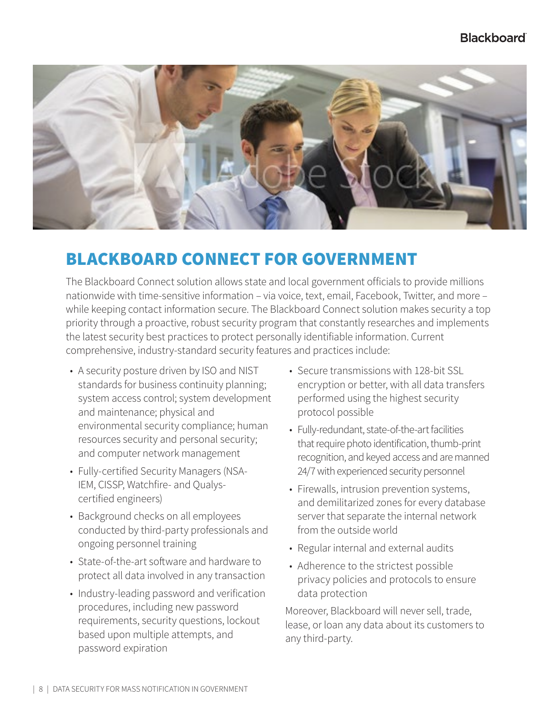#### **Blackboard**



## BLACKBOARD CONNECT FOR GOVERNMENT

The Blackboard Connect solution allows state and local government officials to provide millions nationwide with time-sensitive information – via voice, text, email, Facebook, Twitter, and more – while keeping contact information secure. The Blackboard Connect solution makes security a top priority through a proactive, robust security program that constantly researches and implements the latest security best practices to protect personally identifiable information. Current comprehensive, industry-standard security features and practices include:

- A security posture driven by ISO and NIST standards for business continuity planning; system access control; system development and maintenance; physical and environmental security compliance; human resources security and personal security; and computer network management
- Fully-certified Security Managers (NSA-IEM, CISSP, Watchfire- and Qualyscertified engineers)
- Background checks on all employees conducted by third-party professionals and ongoing personnel training
- State-of-the-art software and hardware to protect all data involved in any transaction
- Industry-leading password and verification procedures, including new password requirements, security questions, lockout based upon multiple attempts, and password expiration
- Secure transmissions with 128-bit SSL encryption or better, with all data transfers performed using the highest security protocol possible
- Fully-redundant, state-of-the-art facilities that require photo identification, thumb-print recognition, and keyed access and are manned 24/7 with experienced security personnel
- Firewalls, intrusion prevention systems, and demilitarized zones for every database server that separate the internal network from the outside world
- Regular internal and external audits
- Adherence to the strictest possible privacy policies and protocols to ensure data protection

Moreover, Blackboard will never sell, trade, lease, or loan any data about its customers to any third-party.